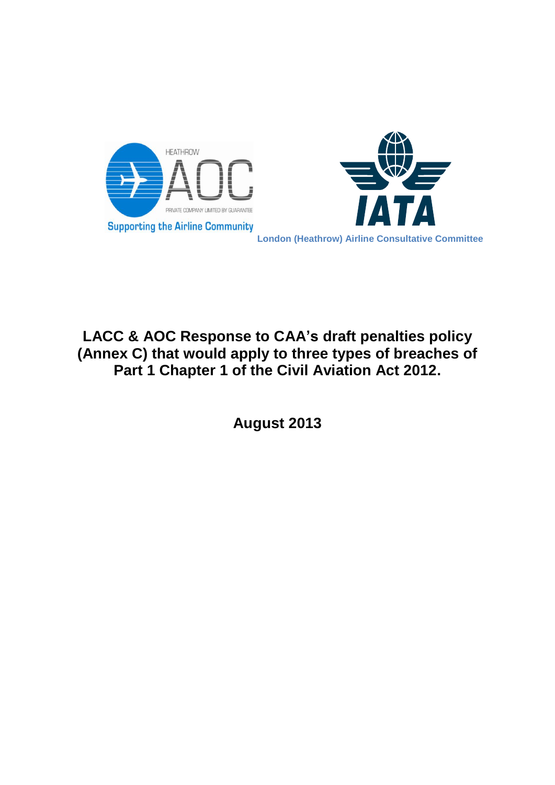



# **LACC & AOC Response to CAA's draft penalties policy (Annex C) that would apply to three types of breaches of Part 1 Chapter 1 of the Civil Aviation Act 2012.**

**August 2013**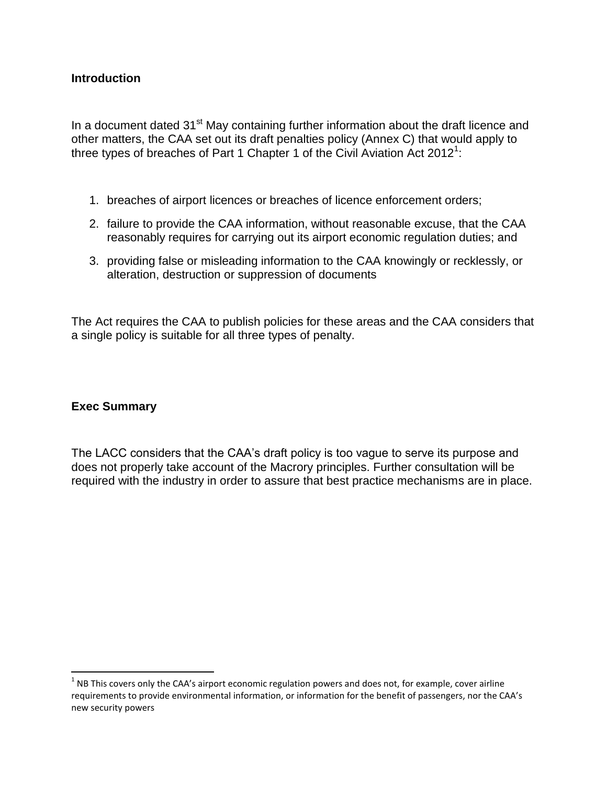#### **Introduction**

In a document dated  $31<sup>st</sup>$  May containing further information about the draft licence and other matters, the CAA set out its draft penalties policy (Annex C) that would apply to three types of breaches of Part 1 Chapter 1 of the Civil Aviation Act 2012<sup>1</sup>:

- 1. breaches of airport licences or breaches of licence enforcement orders;
- 2. failure to provide the CAA information, without reasonable excuse, that the CAA reasonably requires for carrying out its airport economic regulation duties; and
- 3. providing false or misleading information to the CAA knowingly or recklessly, or alteration, destruction or suppression of documents

The Act requires the CAA to publish policies for these areas and the CAA considers that a single policy is suitable for all three types of penalty.

#### **Exec Summary**

 $\overline{\phantom{a}}$ 

The LACC considers that the CAA's draft policy is too vague to serve its purpose and does not properly take account of the Macrory principles. Further consultation will be required with the industry in order to assure that best practice mechanisms are in place.

 $1$  NB This covers only the CAA's airport economic regulation powers and does not, for example, cover airline requirements to provide environmental information, or information for the benefit of passengers, nor the CAA's new security powers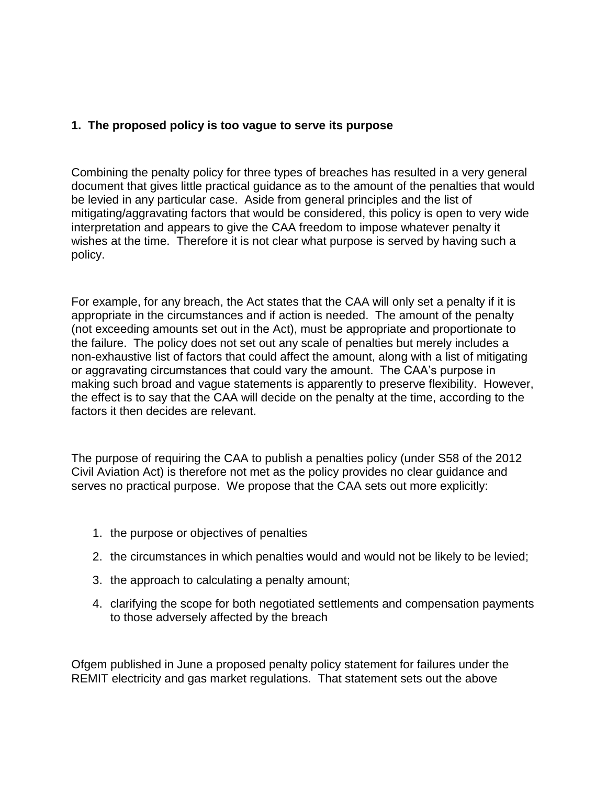## **1. The proposed policy is too vague to serve its purpose**

Combining the penalty policy for three types of breaches has resulted in a very general document that gives little practical guidance as to the amount of the penalties that would be levied in any particular case. Aside from general principles and the list of mitigating/aggravating factors that would be considered, this policy is open to very wide interpretation and appears to give the CAA freedom to impose whatever penalty it wishes at the time. Therefore it is not clear what purpose is served by having such a policy.

For example, for any breach, the Act states that the CAA will only set a penalty if it is appropriate in the circumstances and if action is needed. The amount of the penalty (not exceeding amounts set out in the Act), must be appropriate and proportionate to the failure. The policy does not set out any scale of penalties but merely includes a non-exhaustive list of factors that could affect the amount, along with a list of mitigating or aggravating circumstances that could vary the amount. The CAA's purpose in making such broad and vague statements is apparently to preserve flexibility. However, the effect is to say that the CAA will decide on the penalty at the time, according to the factors it then decides are relevant.

The purpose of requiring the CAA to publish a penalties policy (under S58 of the 2012 Civil Aviation Act) is therefore not met as the policy provides no clear guidance and serves no practical purpose. We propose that the CAA sets out more explicitly:

- 1. the purpose or objectives of penalties
- 2. the circumstances in which penalties would and would not be likely to be levied;
- 3. the approach to calculating a penalty amount;
- 4. clarifying the scope for both negotiated settlements and compensation payments to those adversely affected by the breach

Ofgem published in June a proposed penalty policy statement for failures under the REMIT electricity and gas market regulations. That statement sets out the above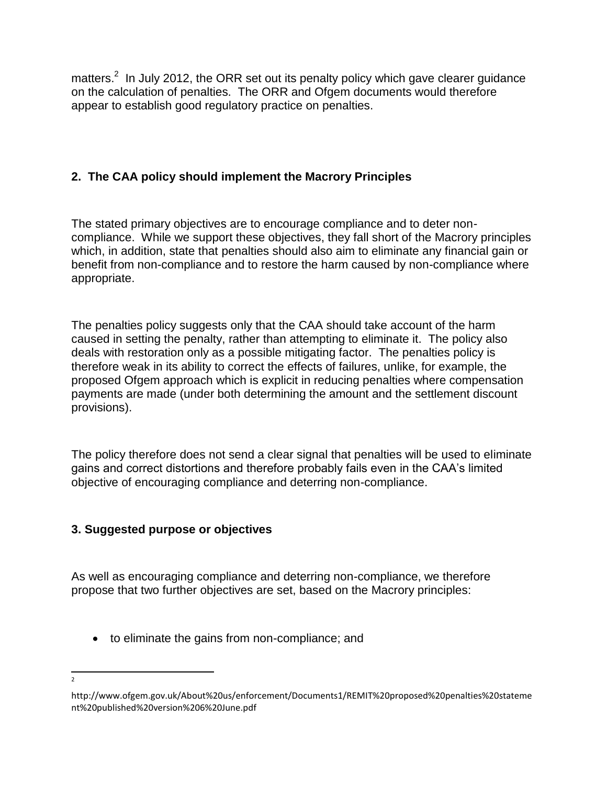matters.<sup>2</sup> In July 2012, the ORR set out its penalty policy which gave clearer guidance on the calculation of penalties. The ORR and Ofgem documents would therefore appear to establish good regulatory practice on penalties.

# **2. The CAA policy should implement the Macrory Principles**

The stated primary objectives are to encourage compliance and to deter noncompliance. While we support these objectives, they fall short of the Macrory principles which, in addition, state that penalties should also aim to eliminate any financial gain or benefit from non-compliance and to restore the harm caused by non-compliance where appropriate.

The penalties policy suggests only that the CAA should take account of the harm caused in setting the penalty, rather than attempting to eliminate it. The policy also deals with restoration only as a possible mitigating factor. The penalties policy is therefore weak in its ability to correct the effects of failures, unlike, for example, the proposed Ofgem approach which is explicit in reducing penalties where compensation payments are made (under both determining the amount and the settlement discount provisions).

The policy therefore does not send a clear signal that penalties will be used to eliminate gains and correct distortions and therefore probably fails even in the CAA's limited objective of encouraging compliance and deterring non-compliance.

# **3. Suggested purpose or objectives**

As well as encouraging compliance and deterring non-compliance, we therefore propose that two further objectives are set, based on the Macrory principles:

to eliminate the gains from non-compliance; and

 $\overline{\phantom{a}}$ 2

http://www.ofgem.gov.uk/About%20us/enforcement/Documents1/REMIT%20proposed%20penalties%20stateme nt%20published%20version%206%20June.pdf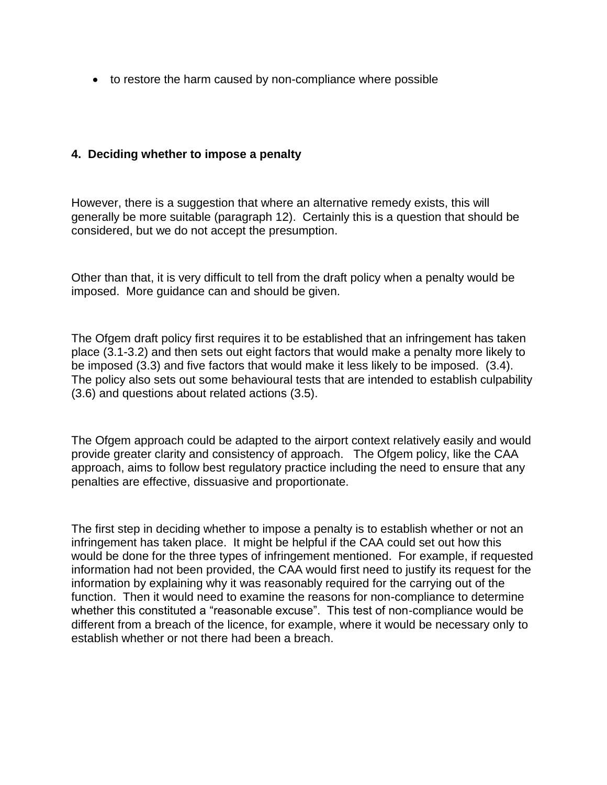• to restore the harm caused by non-compliance where possible

### **4. Deciding whether to impose a penalty**

However, there is a suggestion that where an alternative remedy exists, this will generally be more suitable (paragraph 12). Certainly this is a question that should be considered, but we do not accept the presumption.

Other than that, it is very difficult to tell from the draft policy when a penalty would be imposed. More guidance can and should be given.

The Ofgem draft policy first requires it to be established that an infringement has taken place (3.1-3.2) and then sets out eight factors that would make a penalty more likely to be imposed (3.3) and five factors that would make it less likely to be imposed. (3.4). The policy also sets out some behavioural tests that are intended to establish culpability (3.6) and questions about related actions (3.5).

The Ofgem approach could be adapted to the airport context relatively easily and would provide greater clarity and consistency of approach. The Ofgem policy, like the CAA approach, aims to follow best regulatory practice including the need to ensure that any penalties are effective, dissuasive and proportionate.

The first step in deciding whether to impose a penalty is to establish whether or not an infringement has taken place. It might be helpful if the CAA could set out how this would be done for the three types of infringement mentioned. For example, if requested information had not been provided, the CAA would first need to justify its request for the information by explaining why it was reasonably required for the carrying out of the function. Then it would need to examine the reasons for non-compliance to determine whether this constituted a "reasonable excuse". This test of non-compliance would be different from a breach of the licence, for example, where it would be necessary only to establish whether or not there had been a breach.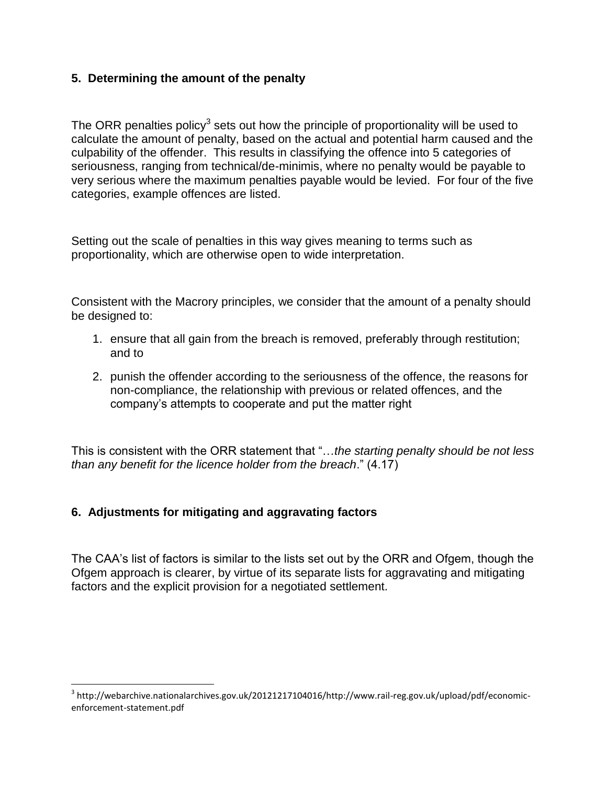## **5. Determining the amount of the penalty**

The ORR penalties policy<sup>3</sup> sets out how the principle of proportionality will be used to calculate the amount of penalty, based on the actual and potential harm caused and the culpability of the offender. This results in classifying the offence into 5 categories of seriousness, ranging from technical/de-minimis, where no penalty would be payable to very serious where the maximum penalties payable would be levied. For four of the five categories, example offences are listed.

Setting out the scale of penalties in this way gives meaning to terms such as proportionality, which are otherwise open to wide interpretation.

Consistent with the Macrory principles, we consider that the amount of a penalty should be designed to:

- 1. ensure that all gain from the breach is removed, preferably through restitution; and to
- 2. punish the offender according to the seriousness of the offence, the reasons for non-compliance, the relationship with previous or related offences, and the company's attempts to cooperate and put the matter right

This is consistent with the ORR statement that "…*the starting penalty should be not less than any benefit for the licence holder from the breach*." (4.17)

## **6. Adjustments for mitigating and aggravating factors**

l

The CAA's list of factors is similar to the lists set out by the ORR and Ofgem, though the Ofgem approach is clearer, by virtue of its separate lists for aggravating and mitigating factors and the explicit provision for a negotiated settlement.

 $^3$  http://webarchive.nationalarchives.gov.uk/20121217104016/http://www.rail-reg.gov.uk/upload/pdf/economicenforcement-statement.pdf